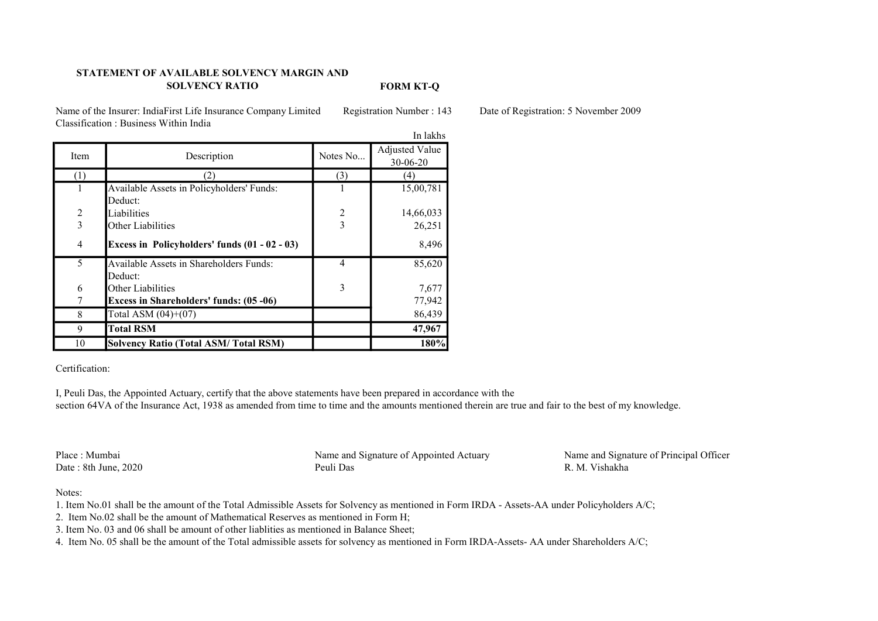# STATEMENT OF AVAILABLE SOLVENCY MARGIN AND SOLVENCY RATIO

FORM KT-Q

Name of the Insurer: IndiaFirst Life Insurance Company Limited Registration Number : 143 Date of Registration: 5 November 2009 Classification : Business Within India

|                |                                                |                | In lakhs                                |
|----------------|------------------------------------------------|----------------|-----------------------------------------|
| Item           | Description                                    | Notes No       | <b>Adjusted Value</b><br>$30 - 06 - 20$ |
| (1)            | 2)                                             | (3)            | (4)                                     |
|                | Available Assets in Policyholders' Funds:      |                | 15,00,781                               |
|                | Deduct:                                        |                |                                         |
| $\overline{c}$ | Liabilities                                    | $\overline{c}$ | 14,66,033                               |
| $\overline{3}$ | Other Liabilities                              | $\overline{3}$ | 26,251                                  |
| 4              | Excess in Policyholders' funds (01 - 02 - 03)  |                | 8,496                                   |
| 5              | Available Assets in Shareholders Funds:        | $\overline{4}$ | 85,620                                  |
|                | Deduct:                                        |                |                                         |
| 6              | Other Liabilities                              | 3              | 7,677                                   |
|                | <b>Excess in Shareholders' funds: (05 -06)</b> |                | 77,942                                  |
| 8              | Total ASM $(04)+(07)$                          |                | 86,439                                  |
| 9              | <b>Total RSM</b>                               |                | 47,967                                  |
| 10             | Solvency Ratio (Total ASM/Total RSM)           |                | 180%                                    |

### Certification:

I, Peuli Das, the Appointed Actuary, certify that the above statements have been prepared in accordance with the section 64VA of the Insurance Act, 1938 as amended from time to time and the amounts mentioned therein are true and fair to the best of my knowledge.

Date :  $8th$  June,  $2020$ 

Place : Mumbai Name and Signature of Appointed Actuary Name and Signature of Principal Officer<br>Date : 8th June. 2020 Peuli Das R. M. Vishakha

### Notes:

- 1. Item No.01 shall be the amount of the Total Admissible Assets for Solvency as mentioned in Form IRDA Assets-AA under Policyholders A/C;
- 2. Item No.02 shall be the amount of Mathematical Reserves as mentioned in Form H;
- 3. Item No. 03 and 06 shall be amount of other liablities as mentioned in Balance Sheet;
- 4. Item No. 05 shall be the amount of the Total admissible assets for solvency as mentioned in Form IRDA-Assets- AA under Shareholders A/C;